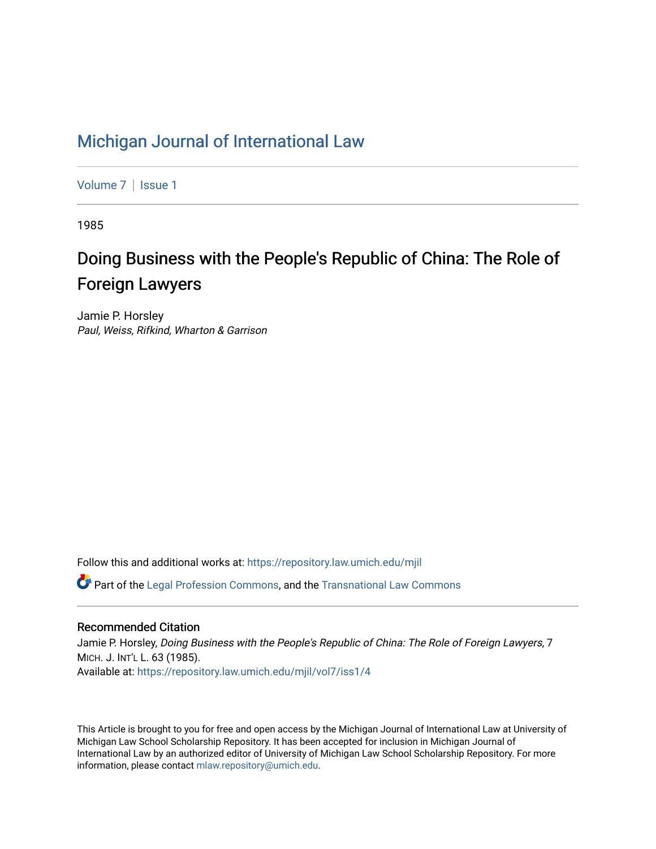# [Michigan Journal of International Law](https://repository.law.umich.edu/mjil)

[Volume 7](https://repository.law.umich.edu/mjil/vol7) | Issue 1

1985

# Doing Business with the People's Republic of China: The Role of Foreign Lawyers

Jamie P. Horsley Paul, Weiss, Rifkind, Wharton & Garrison

Follow this and additional works at: [https://repository.law.umich.edu/mjil](https://repository.law.umich.edu/mjil?utm_source=repository.law.umich.edu%2Fmjil%2Fvol7%2Fiss1%2F4&utm_medium=PDF&utm_campaign=PDFCoverPages) 

 $\bullet$  Part of the [Legal Profession Commons](http://network.bepress.com/hgg/discipline/1075?utm_source=repository.law.umich.edu%2Fmjil%2Fvol7%2Fiss1%2F4&utm_medium=PDF&utm_campaign=PDFCoverPages), and the [Transnational Law Commons](http://network.bepress.com/hgg/discipline/1123?utm_source=repository.law.umich.edu%2Fmjil%2Fvol7%2Fiss1%2F4&utm_medium=PDF&utm_campaign=PDFCoverPages)

# Recommended Citation

Jamie P. Horsley, Doing Business with the People's Republic of China: The Role of Foreign Lawyers, 7 MICH. J. INT'L L. 63 (1985). Available at: [https://repository.law.umich.edu/mjil/vol7/iss1/4](https://repository.law.umich.edu/mjil/vol7/iss1/4?utm_source=repository.law.umich.edu%2Fmjil%2Fvol7%2Fiss1%2F4&utm_medium=PDF&utm_campaign=PDFCoverPages)

This Article is brought to you for free and open access by the Michigan Journal of International Law at University of Michigan Law School Scholarship Repository. It has been accepted for inclusion in Michigan Journal of International Law by an authorized editor of University of Michigan Law School Scholarship Repository. For more information, please contact [mlaw.repository@umich.edu](mailto:mlaw.repository@umich.edu).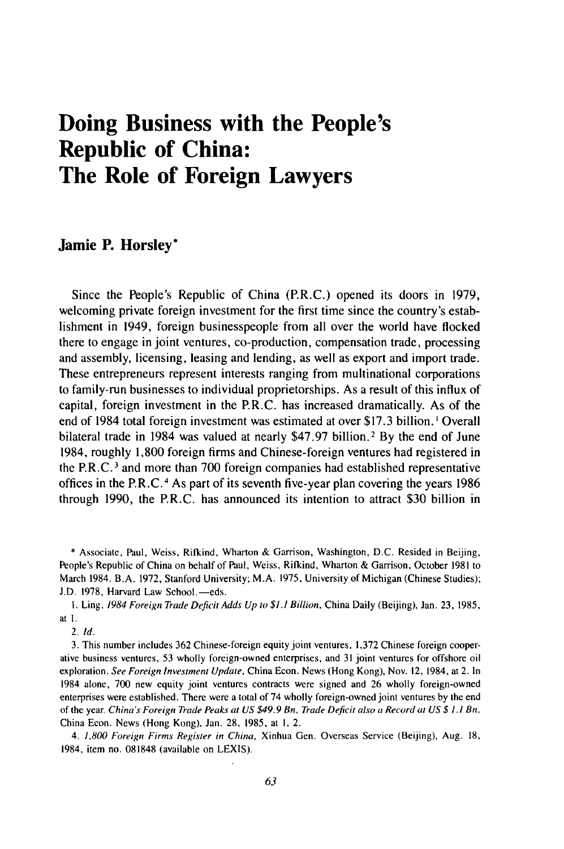# **Doing Business with the People's Republic of China: The Role of Foreign Lawyers**

# **Jamie P. Horsley\***

Since the People's Republic of China (P.R.C.) opened its doors in **1979,** welcoming private foreign investment for the first time since the country's establishment in 1949, foreign businesspeople from all over the world have flocked there to engage in joint ventures, co-production, compensation trade, processing and assembly, licensing, leasing and lending, as well as export and import trade. These entrepreneurs represent interests ranging from multinational corporations to family-run businesses to individual proprietorships. As a result of this influx of capital, foreign investment in the P.R.C. has increased dramatically. As of the end of 1984 total foreign investment was estimated at over **\$17.3** billion. **I** Overall bilateral trade in 1984 was valued at nearly **\$47.97** billion.2 **By** the end of June 1984, roughly **1,800** foreign firms and Chinese-foreign ventures had registered in the P.R.C. 3 and more than **700** foreign companies had established representative offices in the P.R.C.4 As part of its seventh five-year plan covering the years **1986** through **1990,** the P.R.C. has announced its intention to attract **\$30** billion in

**\*** Associate, Paul, Weiss, Rifkind, Wharton **&** Garrison, Washington, **D.C.** Resided in Beijing, People's Republic of China on behalf of Paul, Weiss, Rifkind, Wharton **&** Garrison, October **1981** to March 1984. B.A. **1972,** Stanford University; M.A. **1975,** University of Michigan (Chinese Studies); J.D. 1978, Harvard Law School.-eds.

**1.** Ling, *1984 Foreign Trade Deficit Adds Up to \$1.1 Billion,* China Daily (Beijing), Jan. **23, 1985,** at **1.**

2. **Id.**

**3.** This number includes **362** Chinese-foreign equity joint ventures, **1,372** Chinese foreign cooperative business ventures, **53** wholly foreign-owned enterprises, and **31** joint ventures for offshore oil exploration. *See Foreign Investment Update,* China Econ. News (Hong Kong), Nov. 12, 1984, at 2. In 1984 alone, **700** new equity joint ventures contracts were signed and **26** wholly foreign-owned enterprises were established. There were a total of 74 wholly foreign-owned joint ventures **by** the end of the year. China's *Foreign Trade Peaks at US \$49.9 Bn, Trade Deficit also a Record at US \$ 1.1 Bn,* China Econ. News (Hong Kong), Jan. **28, 1985,** at **I,** 2.

4. **1,800** *Foreign Firms Register in China,* Xinhua Gen. Overseas Service (Beijing), Aug. **18,** 1984, item no. **081848** (available on **LEXIS).**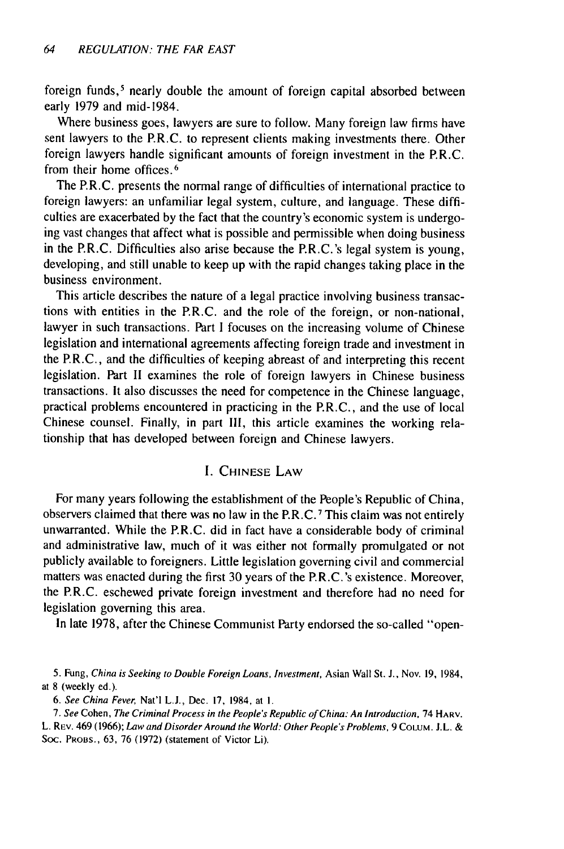foreign funds,<sup>5</sup> nearly double the amount of foreign capital absorbed between early 1979 and mid-1984.

Where business goes, lawyers are sure to follow. Many foreign law firms have sent lawyers to the P.R.C. to represent clients making investments there. Other foreign lawyers handle significant amounts of foreign investment in the P.R.C. from their home offices. <sup>6</sup>

The P.R.C. presents the normal range of difficulties of international practice to foreign lawyers: an unfamiliar legal system, culture, and language. These difficulties are exacerbated by the fact that the country's economic system is undergoing vast changes that affect what is possible and permissible when doing business in the P.R.C. Difficulties also arise because the P.R.C.'s legal system is young, developing, and still unable to keep up with the rapid changes taking place in the business environment.

This article describes the nature of a legal practice involving business transactions with entities in the P.R.C. and the role of the foreign, or non-national, lawyer in such transactions. Part I focuses on the increasing volume of Chinese legislation and international agreements affecting foreign trade and investment in the P.R.C., and the difficulties of keeping abreast of and interpreting this recent legislation. Part II examines the role of foreign lawyers in Chinese business transactions. It also discusses the need for competence in the Chinese language, practical problems encountered in practicing in the P.R.C., and the use of local Chinese counsel. Finally, in part II1, this article examines the working relationship that has developed between foreign and Chinese lawyers.

# I. CHINESE LAW

For many years following the establishment of the People's Republic of China, observers claimed that there was no law in the P.R.C. 7 This claim was not entirely unwarranted. While the P.R.C. did in fact have a considerable body of criminal and administrative law, much of it was either not formally promulgated or not publicly available to foreigners. Little legislation governing civil and commercial matters was enacted during the first 30 years of the P.R.C.'s existence. Moreover, the P.R.C. eschewed private foreign investment and therefore had no need for legislation governing this area.

In late 1978, after the Chinese Communist Party endorsed the so-called "open-

5. Fung, China is Seeking to Double Foreign Loans, Investment, Asian Wall St. J., Nov. 19, 1984, at 8 (weekly ed.).

*6. See China* Fever, Nat'l **L.J.,** Dec. 17, 1984, at I.

*7.* See Cohen, The Criminal Process in the People's Republic of China: An Introduction, 74 HARV. L. REV. 469 (1966); Law and Disorder Around the World: Other People's Problems, 9 COLUM. **J.L. &** Soc. PROBS., 63, 76 (1972) (statement of Victor Li).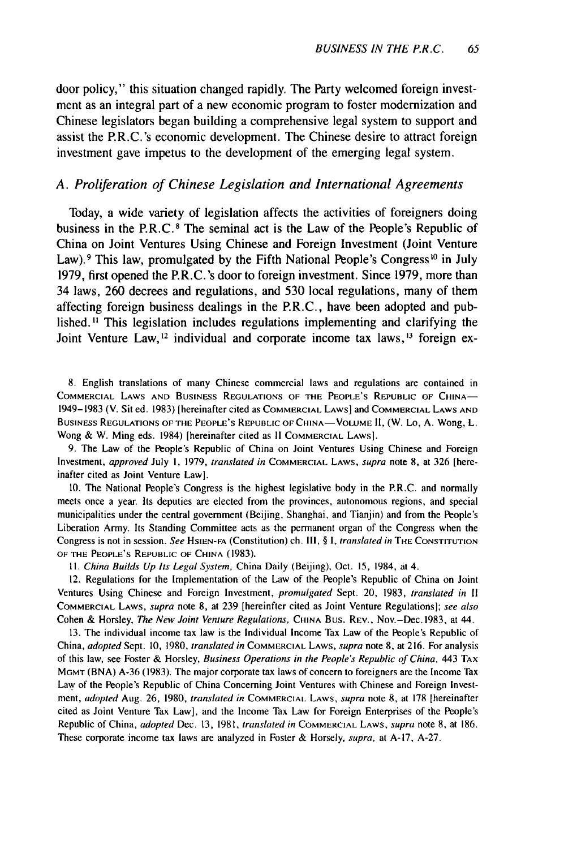door policy," this situation changed rapidly. The Party welcomed foreign investment as an integral part of a new economic program to foster modernization and Chinese legislators began building a comprehensive legal system to support and assist the P.R.C.'s economic development. The Chinese desire to attract foreign investment gave impetus to the development of the emerging legal system.

### *A. Proliferation of Chinese Legislation and International Agreements*

Today, a wide variety of legislation affects the activities of foreigners doing business in the  $P.R.C.$ <sup>8</sup> The seminal act is the Law of the People's Republic of China on Joint Ventures Using Chinese and Foreign Investment (Joint Venture Law). <sup>9</sup> This law, promulgated by the Fifth National People's Congress<sup>10</sup> in July 1979, first opened the P.R.C.'s door to foreign investment. Since 1979, more than 34 laws, 260 decrees and regulations, and 530 local regulations, many of them affecting foreign business dealings in the P.R.C., have been adopted and published.<sup>11</sup> This legislation includes regulations implementing and clarifying the Joint Venture Law,<sup>12</sup> individual and corporate income tax laws,<sup>13</sup> foreign ex-

8. English translations of many Chinese commercial laws and regulations are contained in COMMERCIAL LAWS AND BUSINESS REGULATIONS OF THE PEOPLE'S REPUBLIC OF CHINA-1949-1983 (V. Sit ed. 1983) Ihereinafter cited as COMMERCIAL LAWS] and COMMERCIAL LAWS AND BUSINESS REGULATIONS OF THE PEOPLE'S REPUBLIC OF CHINA-VOLUME II, (W. Lo, A. Wong, L. Wong & W. Ming eds. 1984) [hereinafter cited as **11** COMMERCIAL LAWS].

9. The Law of the People's Republic of China on Joint Ventures Using Chinese and Foreign Investment, approved July I, 1979, translated in COMMERCIAL LAWS, supra note **8,** at 326 [hereinafter cited as Joint Venture Law].

10. The National People's Congress is the highest legislative body in the P.R.C. and normally meets once a year. Its deputies are elected from the provinces, autonomous regions, and special municipalities under the central government (Beijing, Shanghai, and Tianjin) and from the People's Liberation Army. Its Standing Committee acts as the permanent organ of the Congress when the Congress is not in session. See HSIEN-FA (Constitution) ch. Il, § **1,** translated in THE CONSTITUTION OF THE PEOPLE'S REPUBLIC OF CHINA (1983).

II. China Builds Up *Its* Legal System, China Daily (Beijing), Oct. 15, 1984, at 4.

12. Regulations for the Implementation of the Law of the People's Republic of China on Joint Ventures Using Chinese and Foreign Investment, promulgated Sept. 20, 1983, translated in **If** COMMERCIAL LAWS, supra note 8, at 239 [hereinfter cited as Joint Venture Regulations]; see also Cohen & Horsley, The New Joint Venture Regulations, CHINA BUS. REV., Nov.-Dec. 1983, at 44.

13. The individual income tax law is the Individual Income Tax Law of the People's Republic of China, adopted Sept. 10, 1980, translated in COMMERCIAL LAWS, supra note 8, at 216. For analysis of this law, see Foster & Horsley, Business Operations in the People's Republic of China, 443 TAx MGMT (BNA) A-36 (1983). The major corporate tax laws of concern to foreigners are the Income Tax Law of the People's Republic of China Concerning Joint Ventures with Chinese and Foreign Investment, adopted Aug. 26, 1980, translated in COMMERCIAL LAWS, supra note **8,** at 178 [hereinafter cited as Joint Venture Tax Law], and the Income Tax Law for Foreign Enterprises of the People's Republic of China, *adopted Dec.* 13, 1981, *translated in COMMERCIAL LAWS*, *supra* note 8, at 186. These corporate income tax laws are analyzed in Foster & Horsely, supra, at A-17, A-27.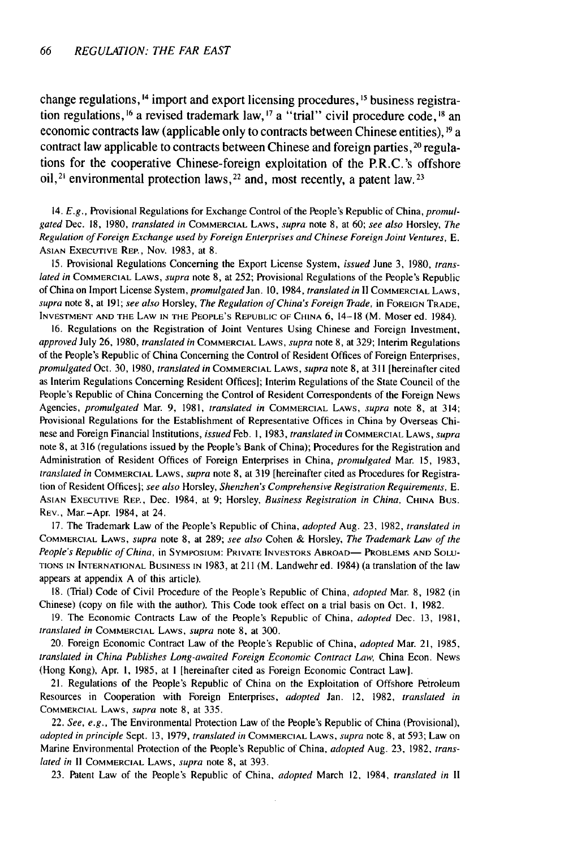change regulations, <sup>14</sup> import and export licensing procedures, <sup>15</sup> business registration regulations, **1 <sup>6</sup>**a revised trademark law, **1 <sup>7</sup>**a "trial" civil procedure code, **' <sup>8</sup>**an economic contracts law (applicable only to contracts between Chinese entities), **1 9** a contract law applicable to contracts between Chinese and foreign parties, <sup>20</sup> regulations **for** the cooperative Chinese-foreign exploitation of the P.R.C.'s offshore oil,<sup>21</sup> environmental protection laws,<sup>22</sup> and, most recently, a patent law.<sup>23</sup>

14. E.g., Provisional Regulations for Exchange Control of the People's Republic of China, promulgated Dec. 18, 1980, translated in COMMERCIAL LAWS, supra note 8, at 60; see also Horsley, The Regulation of Foreign Exchange used by Foreign Enterprises and Chinese Foreign Joint Ventures, *E.* ASIAN **EXECUTIVE** REP., Nov. **1983,** at **8.**

15. Provisional Regulations Concerning the Export License System, issued June **3,** 1980, translated in COMMERCIAL LAWS, supra note 8, at 252; Provisional Regulations of the People's Republic of China on Import License System, promulgated Jan. **10,** 1984, translated in **I1** COMMERCIAL LAWS, supra note 8, at 191; see also Horsley, The Regulation of China's Foreign Trade, in **FOREIGN** TRADE, **INVESTMENT AND THE** LAW **IN** THE PEOPLE'S REPUBLIC OF **CHINA 6,** 14-18 (M. Moser ed. 1984).

16. Regulations on the Registration of Joint Ventures Using Chinese and Foreign Investment, approved July 26, 1980, translated in COMMERCIAL LAWS, supra note 8, at 329; Interim Regulations of the People's Republic of China Concerning the Control of Resident Offices of Foreign Enterprises, promulgated Oct. 30, 1980, translated in COMMERCIAL LAWS, supra note 8, at 311 [hereinafter cited as Interim Regulations Concerning Resident Offices]; Interim Regulations of the State Council of the People's Republic of China Concerning the Control of Resident Correspondents of the Foreign News Agencies, promulgated Mar. 9, 1981, translated in COMMERCIAL LAWS, supra note 8, at 314; Provisional Regulations for the Establishment of Representative Offices in China by Overseas Chinese and Foreign Financial Institutions, issued Feb. 1, 1983, translated in COMMERCIAL LAWS, supra note 8, at 316 (regulations issued by the People's Bank of China); Procedures for the Registration and Administration of Resident Offices of Foreign Enterprises in China, promulgated Mar. 15, 1983, translated in COMMERCIAL LAWS, supra note 8, at 319 [hereinafter cited as Procedures for Registration of Resident Offices]; see also Horsley, Shenzhen's Comprehensive Registration Requirements, *E.* ASIAN **EXECUTIVE** REP., Dec. 1984, at 9; Horsley, Business Registration in China, **CHINA** BUS. REV., Mar.-Apr. 1984, at 24.

17. The Trademark Law of the People's Republic of China, adopted Aug. 23, 1982, translated in COMMERCIAL LAWS, supra note 8, at 289; see also Cohen & Horsley, The Trademark Law of the People's Republic of China, in Symposium: Private Investors Abroad— Problems and Solu-**TIONS IN INTERNATIONAL BUSINESS** IN 1983, at 211 (M. Landwehr ed. 1984) (a translation of the law appears at appendix A of this article).

18. (Trial) Code of Civil Procedure of the People's Republic of China, adopted Mar. 8, 1982 (in Chinese) (copy on file with the author). This Code took effect on a trial basis on Oct. **1,** 1982.

19. The Economic Contracts Law of the People's Republic of China, adopted Dec. 13, 1981, translated in COMMERCIAL LAWS, supra note **8,** at 300.

20. Foreign Economic Contract Law of the People's Republic of China, *adopted* Mar. 21, 1985, translated in China Publishes Long-awaited Foreign Economic Contract Law, China Econ. News (Hong Kong), Apr. **1,** 1985, at **I** [hereinafter cited as Foreign Economic Contract Law].

21. Regulations of the People's Republic of China on the Exploitation of Offshore Petroleum Resources in Cooperation with Foreign Enterprises, adopted Jan. 12, 1982, translated in COMMERCIAL LAWS, supra note 8, at 335.

22. See, e.g., The Environmental Protection Law of the People's Republic of China (Provisional), adopted in principle Sept. 13, 1979, translated in COMMERCIAL LAWS, supra note 8, at 593; Law on Marine Environmental Protection of the People's Republic of China, adopted Aug. **23,** 1982, translated in **11** COMMERCIAL LAWS, supra note 8, at 393.

23. Patent Law of the People's Republic of China, adopted March 12, 1984, translated in II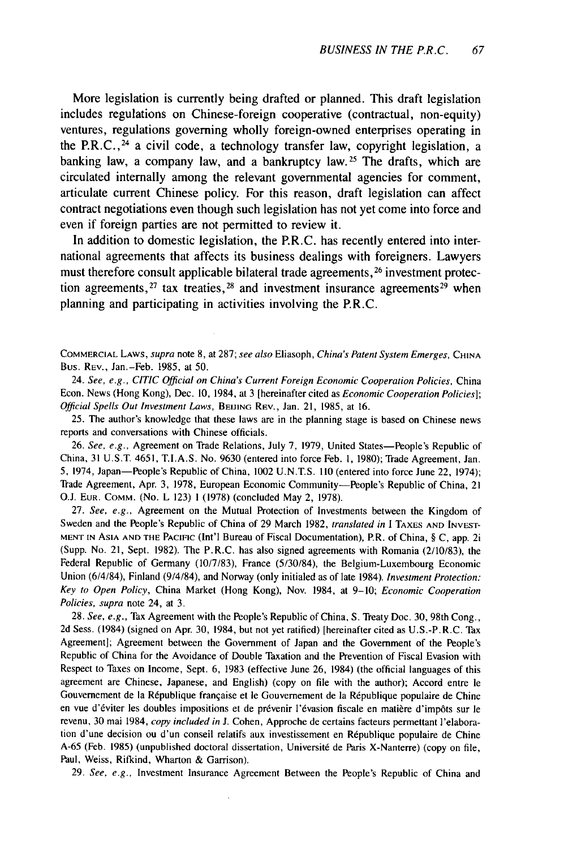More legislation is currently being drafted or planned. This draft legislation includes regulations on Chinese-foreign cooperative (contractual, non-equity) ventures, regulations governing wholly foreign-owned enterprises operating in the P.R.C.,  $^{24}$  a civil code, a technology transfer law, copyright legislation, a banking law, a company law, and a bankruptcy law.<sup>25</sup> The drafts, which are circulated internally among the relevant governmental agencies for comment, articulate current Chinese policy. For this reason, draft legislation can affect contract negotiations even though such legislation has not yet come into force and even if foreign parties are not permitted to review it.

In addition to domestic legislation, the P.R.C. has recently entered into international agreements that affects its business dealings with foreigners. Lawyers must therefore consult applicable bilateral trade agreements, <sup>26</sup> investment protection agreements,  $27$  tax treaties,  $28$  and investment insurance agreements  $29$  when planning and participating in activities involving the P.R.C.

COMMERCIAL LAWS, *supra* note 8, at 287; *see also* Eliasoph, *China's Patent* System Emerges, CHINA Bus. REV., Jan.-Feb. 1985, at 50.

24. *See, e.g., CITIC Official on China's Current Foreign Economic Cooperation Policies.* China Econ. News (Hong Kong), Dec. 10, 1984, at 3 [hereinafter cited as *Economic Cooperation Policies];* Official Spells Out Investment Laws, BEIJING REV., Jan. 21, 1985, at 16.

25. The author's knowledge that these laws are in the planning stage is based on Chinese news reports and conversations with Chinese officials.

26. See, e.g., Agreement on Trade Relations, July 7, 1979, United States-People's Republic of China, 31 **U.S.T.** 4651, T.I.A.S. No. 9630 (entered into force Feb. 1, 1980); Trade Agreement, Jan. 5, 1974, Japan-People's Republic of China, 1002 U.N.T.S. 110 (entered into force June 22, 1974); Trade Agreement, Apr. 3, 1978, European Economic Community-People's Republic of China, 21 O.J. EUR. COMM. (No. L 123) 1 (1978) (concluded May 2, 1978).

27. See, *e.g.,* Agreement on the Mutual Protection of Investments between the Kingdom of Sweden and the People's Republic of China of 29 March 1982, translated *in* I **TAXES AND INVEST-MENT** IN ASIA **AND THE** PACIFIC (Int'l Bureau of Fiscal Documentation), P.R. of China, § C, app. 2i (Supp. No. 21, Sept. 1982). The P.R.C. has also signed agreements with Romania (2/10/83), the Federal Republic of Germany (10/7/83), France (5/30/84), the Belgium-Luxembourg Economic Union (6/4/84), Finland (9/4/84), and Norway (only initialed as of late 1984). Investment Protection: *Key to Open Policy,* China Market (Hong Kong), Nov. 1984, at 9-10; *Economic Cooperation Policies, supra* note 24, at 3.

28. *See, e.g.,* Tax Agreement with the People's Republic of China, S. Treaty Doc. 30, 98th Cong., 2d Sess. (1984) (signed on Apr. 30, 1984, but not yet ratified) [hereinafter cited as U.S.-P.R.C. Tax Agreement]; Agreement between the Government of Japan and the Government of the People's Republic of China for the Avoidance of Double Taxation and the Prevention of Fiscal Evasion with Respect to Taxes on Income, Sept. 6, 1983 (effective June 26, 1984) (the official languages of this agreement are Chinese, Japanese, and English) (copy on file with the author); Accord entre le Gouvernement de la République française et le Gouvernement de la République populaire de Chine en vue d'éviter les doubles impositions et de prévenir l'évasion fiscale en matière d'impôts sur le revenu, 30 mai 1984, *copy included in* J. Cohen, Approche de certains facteurs permettant l'elaboration d'une decision ou d'un conseil relatifs aux investissement en République populaire de Chine A-65 (Feb. 1985) (unpublished doctoral dissertation, Universit6 de Paris X-Nanterre) (copy on file, Paul, Weiss, Rifkind, Wharton & Garrison).

29. *See, e.g.,* Investment Insurance Agreement Between the People's Republic of China and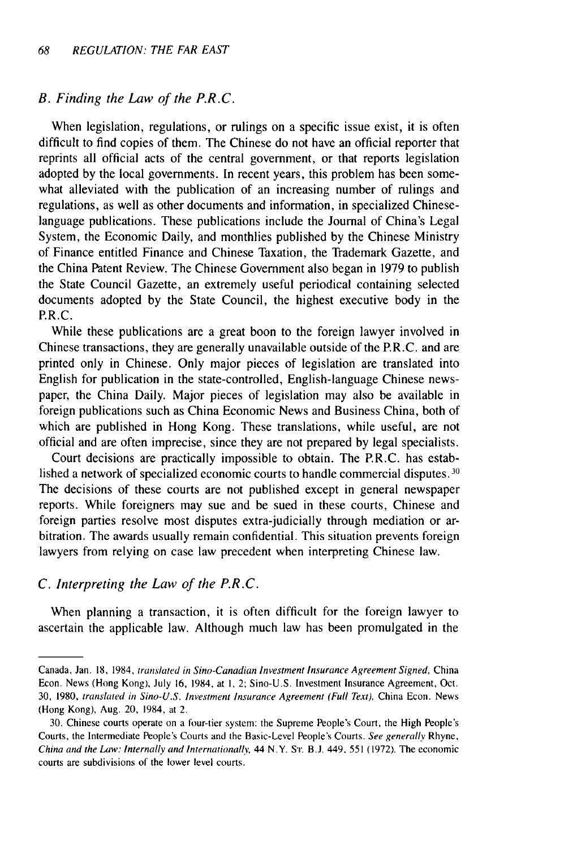#### *B. Finding the Law of the P.R.C.*

When legislation, regulations, or rulings on a specific issue exist, it is often difficult to find copies of them. The Chinese do not have an official reporter that reprints all official acts of the central government, or that reports legislation adopted by the local governments. In recent years, this problem has been somewhat alleviated with the publication of an increasing number of rulings and regulations, as well as other documents and information, in specialized Chineselanguage publications. These publications include the Journal of China's Legal System, the Economic Daily, and monthlies published by the Chinese Ministry of Finance entitled Finance and Chinese Taxation, the Trademark Gazette, and the China Patent Review. The Chinese Government also began in 1979 to publish the State Council Gazette, an extremely useful periodical containing selected documents adopted by the State Council, the highest executive body in the P.R.C.

While these publications are a great boon to the foreign lawyer involved in Chinese transactions, they are generally unavailable outside of the P.R.C. and are printed only in Chinese. Only major pieces of legislation are translated into English for publication in the state-controlled, English-language Chinese newspaper, the China Daily. Major pieces of legislation may also be available in foreign publications such as China Economic News and Business China, both of which are published in Hong Kong. These translations, while useful, are not official and are often imprecise, since they are not prepared by legal specialists.

Court decisions are practically impossible to obtain. The P.R.C. has established a network of specialized economic courts to handle commercial disputes. **30** The decisions of these courts are not published except in general newspaper reports. While foreigners may sue and be sued in these courts, Chinese and foreign parties resolve most disputes extra-judicially through mediation or arbitration. The awards usually remain confidential. This situation prevents foreign lawyers from relying on case law precedent when interpreting Chinese law.

#### *C. Interpreting the Law of the P.R.C.*

When planning a transaction, it is often difficult for the foreign lawyer to ascertain the applicable law. Although much law has been promulgated in the

Canada, Jan. 18, 1984, translated in Sino-Canadian Investment Insurance Agreement Signed, China Econ. News (Hong Kong), July 16, 1984, at **1,** 2; Sino-U.S. Investment Insurance Agreement, Oct. 30, 1980, translated in Sino-U.S. Investment Insurance Agreement (Full *Text),* China Econ. News (Hong Kong), Aug. 20, 1984, at 2.

<sup>30.</sup> Chinese courts operate on a four-tier system: the Supreme People's Court, the High People's Courts, the Intermediate People's Courts and the Basic-Level People's Courts. See generally Rhyne, China and the Law: Internally and Internationally, 44 N.Y. S'r. **B.J.** 449, 551 (1972). The economic courts are subdivisions of the lower level courts.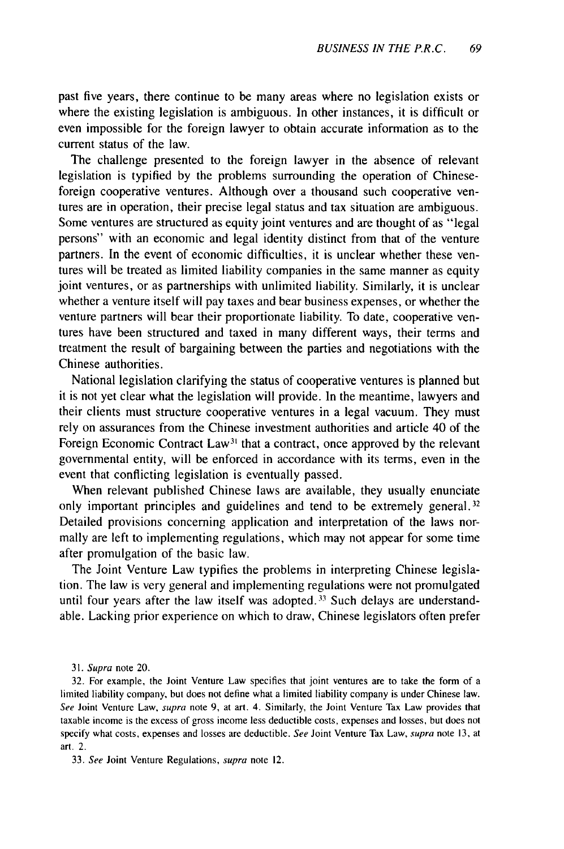past five years, there continue to be many areas where no legislation exists or where the existing legislation is ambiguous. In other instances, it is difficult or even impossible for the foreign lawyer to obtain accurate information as to the current status of the law.

The challenge presented to the foreign lawyer in the absence of relevant legislation is typified by the problems surrounding the operation of Chineseforeign cooperative ventures. Although over a thousand such cooperative ventures are in operation, their precise legal status and tax situation are ambiguous. Some ventures are structured as equity joint ventures and are thought of as "legal persons" with an economic and legal identity distinct from that of the venture partners. In the event of economic difficulties, it is unclear whether these ventures will be treated as limited liability companies in the same manner as equity joint ventures, or as partnerships with unlimited liability. Similarly, it is unclear whether a venture itself will pay taxes and bear business expenses, or whether the venture partners will bear their proportionate liability. To date, cooperative ventures have been structured and taxed in many different ways, their terms and treatment the result of bargaining between the parties and negotiations with the Chinese authorities.

National legislation clarifying the status of cooperative ventures is planned but it is not yet clear what the legislation will provide. In the meantime, lawyers and their clients must structure cooperative ventures in a legal vacuum. They must rely on assurances from the Chinese investment authorities and article 40 of the Foreign Economic Contract Law<sup>31</sup> that a contract, once approved by the relevant governmental entity, will be enforced in accordance with its terms, even in the event that conflicting legislation is eventually passed.

When relevant published Chinese laws are available, they usually enunciate only important principles and guidelines and tend to be extremely general.<sup>32</sup> Detailed provisions concerning application and interpretation of the laws normally are left to implementing regulations, which may not appear for some time after promulgation of the basic law.

The Joint Venture Law typifies the problems in interpreting Chinese legislation. The law is very general and implementing regulations were not promulgated until four years after the law itself was adopted.<sup>33</sup> Such delays are understandable. Lacking prior experience on which to draw, Chinese legislators often prefer

31. Supra note 20.

32. For example, the Joint Venture Law specifies that joint ventures are to take the form of a limited liability company, but does not define what a limited liability company is under Chinese law. See Joint Venture Law, supra note 9, at art. 4. Similarly, the Joint Venture Tax Law provides that taxable income is the excess of gross income less deductible costs, expenses and losses, but does not specify what costs, expenses and losses are deductible. See Joint Venture Tax Law, supra note 13, at art. 2.

33. See Joint Venture Regulations, supra note 12.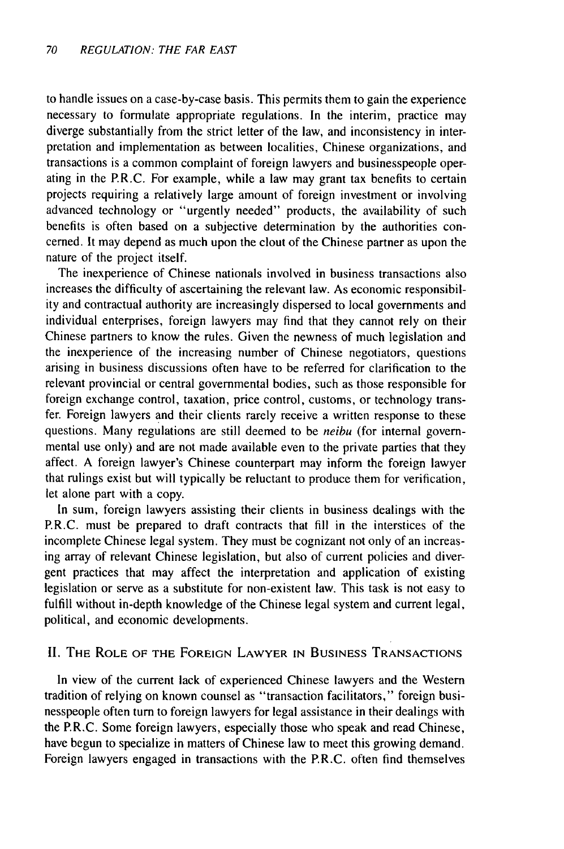to handle issues on a case-by-case basis. This permits them to gain the experience necessary to formulate appropriate regulations. In the interim, practice may diverge substantially from the strict letter of the law, and inconsistency in interpretation and implementation as between localities, Chinese organizations, and transactions is a common complaint of foreign lawyers and businesspeople operating in the P.R.C. For example, while a law may grant tax benefits to certain projects requiring a relatively large amount of foreign investment or involving advanced technology or "urgently needed" products, the availability of such benefits is often based on a subjective determination by the authorities concerned. It may depend as much upon the clout of the Chinese partner as upon the nature of the project itself.

The inexperience of Chinese nationals involved in business transactions also increases the difficulty of ascertaining the relevant law. As economic responsibility and contractual authority are increasingly dispersed to local governments and individual enterprises, foreign lawyers may find that they cannot rely on their Chinese partners to know the rules. Given the newness of much legislation and the inexperience of the increasing number of Chinese negotiators, questions arising in business discussions often have to be referred for clarification to the relevant provincial or central governmental bodies, such as those responsible for foreign exchange control, taxation, price control, customs, or technology transfer. Foreign lawyers and their clients rarely receive a written response to these questions. Many regulations are still deemed to be *neibu* (for internal governmental use only) and are not made available even to the private parties that they affect. A foreign lawyer's Chinese counterpart may inform the foreign lawyer that rulings exist but will typically be reluctant to produce them for verification, let alone part with a copy.

In sum, foreign lawyers assisting their clients in business dealings with the P.R.C. must be prepared to draft contracts that fill in the interstices of the incomplete Chinese legal system. They must be cognizant not only of an increasing array of relevant Chinese legislation, but also of current policies and divergent practices that may affect the interpretation and application of existing legislation or serve as a substitute for non-existent law. This task is not easy to fulfill without in-depth knowledge of the Chinese legal system and current legal, political, and economic developments.

# II. THE ROLE OF THE **FOREIGN** LAWYER **IN** BUSINESS **TRANSACTIONS**

In view of the current lack of experienced Chinese lawyers and the Western tradition of relying on known counsel as "transaction facilitators," foreign businesspeople often turn to foreign lawyers for legal assistance in their dealings with the P.R.C. Some foreign lawyers, especially those who speak and read Chinese, have begun to specialize in matters of Chinese law to meet this growing demand. Foreign lawyers engaged in transactions with the P.R.C. often find themselves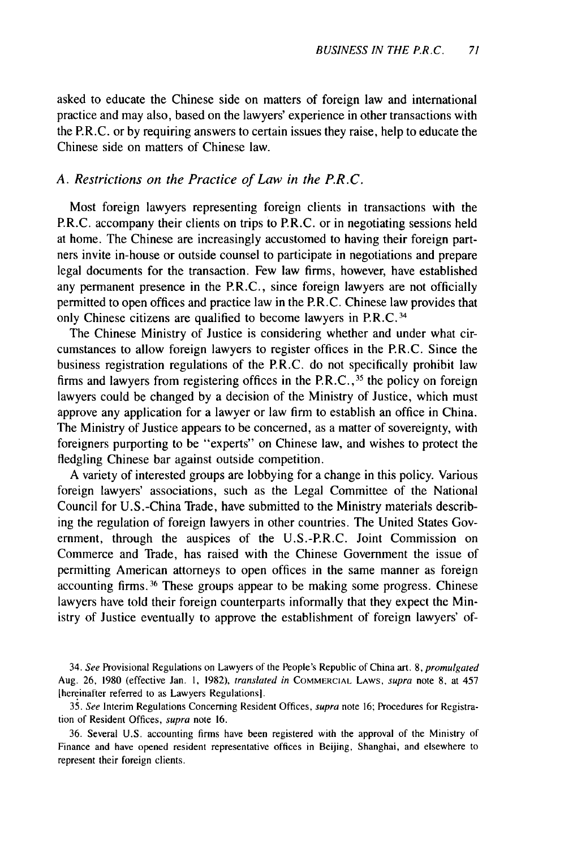asked to educate the Chinese side on matters of foreign law and international practice and may also, based on the lawyers' experience in other transactions with the P.R.C. or by requiring answers to certain issues they raise, help to educate the Chinese side on matters of Chinese law.

### *A. Restrictions on the Practice of Law in the P.R.C.*

Most foreign lawyers representing foreign clients in transactions with the P.R.C. accompany their clients on trips to P.R.C. or in negotiating sessions held at home. The Chinese are increasingly accustomed to having their foreign partners invite in-house or outside counsel to participate in negotiations and prepare legal documents for the transaction. Few law firms, however, have established any permanent presence in the P.R.C., since foreign lawyers are not officially permitted to open offices and practice law in the P.R.C. Chinese law provides that only Chinese citizens are qualified to become lawyers in P.R.C.<sup>34</sup>

The Chinese Ministry of Justice is considering whether and under what circumstances to allow foreign lawyers to register offices in the P.R.C. Since the business registration regulations of the P.R.C. do not specifically prohibit law firms and lawyers from registering offices in the P.R.C.,  $35$  the policy on foreign lawyers could be changed by a decision of the Ministry of Justice, which must approve any application for a lawyer or law firm to establish an office in China. The Ministry of Justice appears to be concerned, as a matter of sovereignty, with foreigners purporting to be "experts" on Chinese law, and wishes to protect the fledgling Chinese bar against outside competition.

A variety of interested groups are lobbying for a change in this policy. Various foreign lawyers' associations, such as the Legal Committee of the National Council for U.S.-China Trade, have submitted to the Ministry materials describing the regulation of foreign lawyers in other countries. The United States Government, through the auspices of the U.S.-P.R.C. Joint Commission on Commerce and Trade, has raised with the Chinese Government the issue of permitting American attorneys to open offices in the same manner as foreign accounting firms.<sup>36</sup> These groups appear to be making some progress. Chinese lawyers have told their foreign counterparts informally that they expect the Ministry of Justice eventually to approve the establishment of foreign lawyers' of-

34. See Provisional Regulations on Lawyers of the People's Republic of China art. 8, promulgated Aug. 26, 1980 (effective Jan. **1,** 1982), translated in COMMERCIAL LAWS, supra note 8, at 457 [hereinafter referred to as Lawyers Regulations].

35. See Interim Regulations Concerning Resident Offices, supra note 16; Procedures for Registration of Resident Offices, supra note 16.

36. Several U.S. accounting firms have been registered with the approval of the Ministry of Finance and have opened resident representative offices in Beijing, Shanghai, and elsewhere to represent their foreign clients.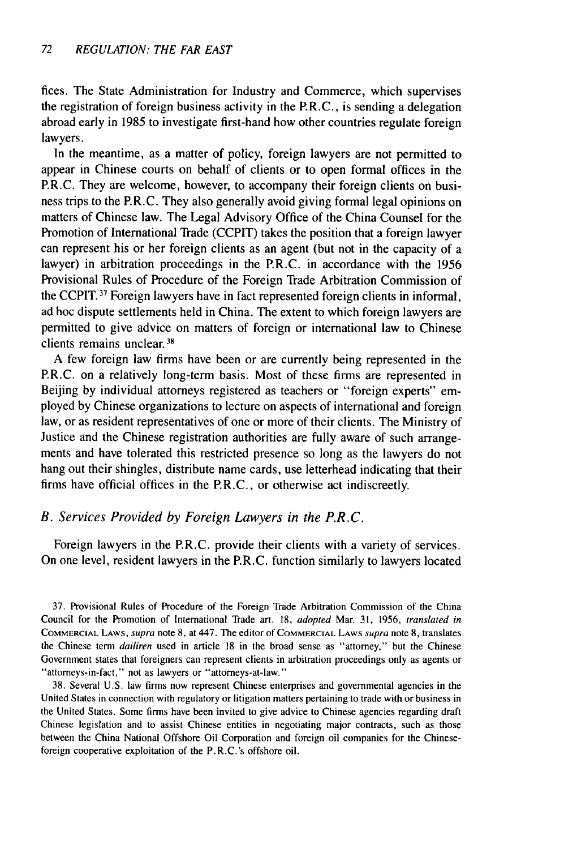fices. The State Administration for Industry and Commerce, which supervises the registration of foreign business activity in the P.R.C., is sending a delegation abroad early in 1985 to investigate first-hand how other countries regulate foreign lawyers.

In the meantime, as a matter of policy, foreign lawyers are not permitted to appear in Chinese courts on behalf of clients or to open formal offices in the P.R.C. They are welcome, however, to accompany their foreign clients on business trips to the P.R.C. They also generally avoid giving formal legal opinions on matters of Chinese law. The Legal Advisory Office of the China Counsel for the Promotion of International Trade (CCPIT) takes the position that a foreign lawyer can represent his or her foreign clients as an agent (but not in the capacity of a lawyer) in arbitration proceedings in the P.R.C. in accordance with the 1956 Provisional Rules of Procedure of the Foreign Trade Arbitration Commission of the CCPIT. 37 Foreign lawyers have in fact represented foreign clients in informal, ad hoc dispute settlements held in China. The extent to which foreign lawyers are permitted to give advice on matters of foreign or international law to Chinese clients remains unclear.<sup>38</sup>

A few foreign law firms have been or are currently being represented in the P.R.C. on a relatively long-term basis. Most of these firms are represented in Beijing by individual attorneys registered as teachers or "foreign experts" employed by Chinese organizations to lecture on aspects of international and foreign law, or as resident representatives of one or more of their clients. The Ministry of Justice and the Chinese registration authorities are fully aware of such arrangements and have tolerated this restricted presence so long as the lawyers do not hang out their shingles, distribute name cards, use letterhead indicating that their firms have official offices in the P.R.C., or otherwise act indiscreetly.

# *B. Services Provided by Foreign Lawyers in the P.R.C.*

Foreign lawyers in the P.R.C. provide their clients with a variety of services. On one level, resident lawyers in the P.R.C. function similarly to lawyers located

37. Provisional Rules of Procedure of the Foreign Trade Arbitration Commission of the China Council for the Promotion of International Trade art. 18, adopted Mar. 31, 1956, translated *in* COMMERCIAL LAWS, supra note **8,** at 447. The editor **of** COMMERCIAL LAWS supra note 8, translates the Chinese term *dailiren* used in article 18 in the broad sense as "attorney," but the Chinese Government states that foreigners can represent clients in arbitration proceedings only as agents or "attorneys-in-fact," not as lawyers or "attorneys-at-law."

38. Several U.S. law firms now represent Chinese enterprises and governmental agencies in the United States in connection with regulatory or litigation matters pertaining to trade with or business in the United States. Some firms have been invited to give advice to Chinese agencies regarding draft Chinese legislation and to assist Chinese entities in negotiating major contracts, such as those between the China National Offshore Oil Corporation and foreign oil companies for the Chineseforeign cooperative exploitation of the P.R.C.'s offshore oil.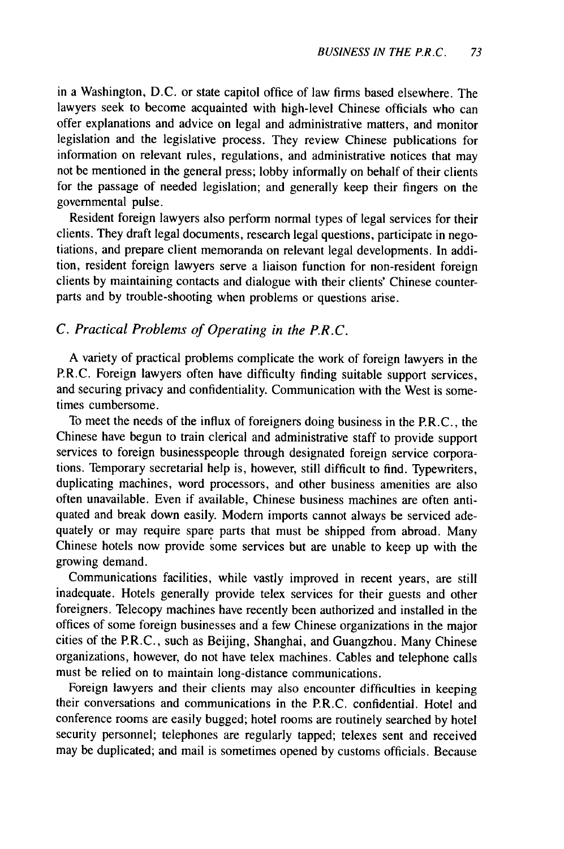in a Washington, D.C. or state capitol office of law firms based elsewhere. The lawyers seek to become acquainted with high-level Chinese officials who can offer explanations and advice on legal and administrative matters, and monitor legislation and the legislative process. They review Chinese publications for information on relevant rules, regulations, and administrative notices that may not be mentioned in the general press; lobby informally on behalf of their clients for the passage of needed legislation; and generally keep their fingers on the governmental pulse.

Resident foreign lawyers also perform normal types of legal services for their clients. They draft legal documents, research legal questions, participate in negotiations, and prepare client memoranda on relevant legal developments. In addition, resident foreign lawyers serve a liaison function for non-resident foreign clients by maintaining contacts and dialogue with their clients' Chinese counterparts and by trouble-shooting when problems or questions arise.

# *C. Practical Problems of Operating in the P.R.C.*

A variety of practical problems complicate the work of foreign lawyers in the P.R.C. Foreign lawyers often have difficulty finding suitable support services, and securing privacy and confidentiality. Communication with the West is sometimes cumbersome.

To meet the needs of the influx of foreigners doing business in the P.R.C., the Chinese have begun to train clerical and administrative staff to provide support services to foreign businesspeople through designated foreign service corporations. Temporary secretarial help is, however, still difficult to find. Typewriters, duplicating machines, word processors, and other business amenities are also often unavailable. Even if available, Chinese business machines are often antiquated and break down easily. Modern imports cannot always be serviced adequately or may require spare parts that must be shipped from abroad. Many Chinese hotels now provide some services but are unable to keep up with the growing demand.

Communications facilities, while vastly improved in recent years, are still inadequate. Hotels generally provide telex services for their guests and other foreigners. Telecopy machines have recently been authorized and installed in the offices of some foreign businesses and a few Chinese organizations in the major cities of the P.R.C., such as Beijing, Shanghai, and Guangzhou. Many Chinese organizations, however, do not have telex machines. Cables and telephone calls must be relied on to maintain long-distance communications.

Foreign lawyers and their clients may also encounter difficulties in keeping their conversations and communications in the P.R.C. confidential. Hotel and conference rooms are easily bugged; hotel rooms are routinely searched by hotel security personnel; telephones are regularly tapped; telexes sent and received may be duplicated; and mail is sometimes opened by customs officials. Because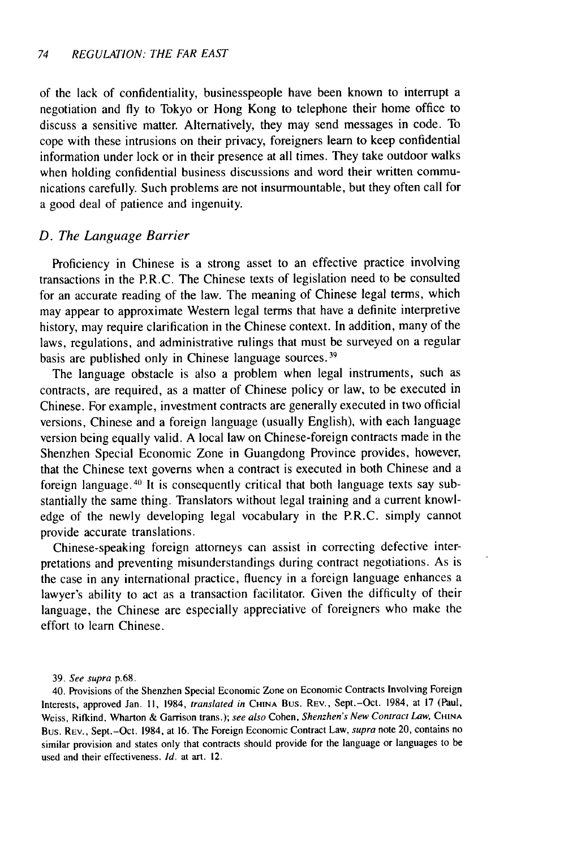of the lack of confidentiality, businesspeople have been known to interrupt a negotiation and fly to Tokyo or Hong Kong to telephone their home office to discuss a sensitive matter. Alternatively, they may send messages in code. To cope with these intrusions on their privacy, foreigners learn to keep confidential information under lock or in their presence at all times. They take outdoor walks when holding confidential business discussions and word their written communications carefully. Such problems are not insurmountable, but they often call for a good deal of patience and ingenuity.

#### *D. The Language Barrier*

Proficiency in Chinese is a strong asset to an effective practice involving transactions in the P.R.C. The Chinese texts of legislation need to be consulted for an accurate reading of the law. The meaning of Chinese legal terms, which may appear to approximate Western legal terms that have a definite interpretive history, may require clarification in the Chinese context. In addition, many of the laws, regulations, and administrative rulings that must be surveyed on a regular basis are published only in Chinese language sources. <sup>39</sup>

The language obstacle is also a problem when legal instruments, such as contracts, are required, as a matter of Chinese policy or law, to be executed in Chinese. For example, investment contracts are generally executed in two official versions, Chinese and a foreign language (usually English), with each language version being equally valid. A local law on Chinese-foreign contracts made in the Shenzhen Special Economic Zone in Guangdong Province provides, however, that the Chinese text governs when a contract is executed in both Chinese and a foreign language.40 It is consequently critical that both language texts say substantially the same thing. Translators without legal training and a current knowledge of the newly developing legal vocabulary in the P.R.C. simply cannot provide accurate translations.

Chinese-speaking foreign attorneys can assist in correcting defective interpretations and preventing misunderstandings during contract negotiations. As is the case in any international practice, fluency in a foreign language enhances a lawyer's ability to act as a transaction facilitator. Given the difficulty of their language, the Chinese are especially appreciative of foreigners who make the effort to learn Chinese.

#### 39. See supra p.68.

40. Provisions of the Shenzhen Special Economic Zone on Economic Contracts Involving Foreign Interests, approved Jan. **11,** 1984, translated in **CHINA** Bus. REV., Sept.-Oct. 1984, at 17 (Paul, Weiss, Rifkind, Wharton & Garrison trans.); see also Cohen, Shenzhen's New Contract Law, **CHINA** Bus. REV., Sept.-Oct. 1984, at 16. The Foreign Economic Contract Law, supra note 20, contains no similar provision and states only that contracts should provide for the language or languages to be used and their effectiveness. Id. at art. 12.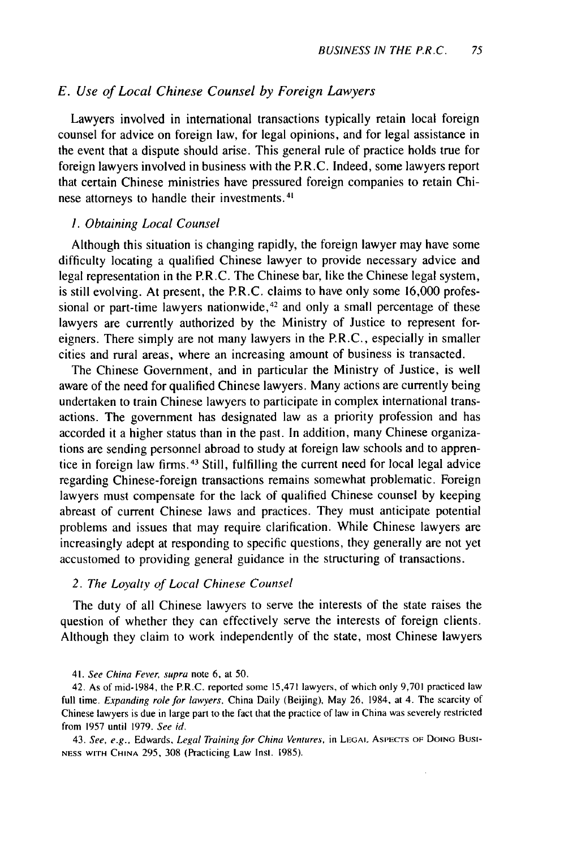# *E. Use of Local Chinese Counsel by Foreign Lawyers*

Lawyers involved in international transactions typically retain local foreign counsel for advice on foreign law, for legal opinions, and for legal assistance in the event that a dispute should arise. This general rule of practice holds true for foreign lawyers involved in business with the P.R.C. Indeed, some lawyers report that certain Chinese ministries have pressured foreign companies to retain Chinese attorneys to handle their investments.<sup>4</sup>

## 1. *Obtaining Local Counsel*

Although this situation is changing rapidly, the foreign lawyer may have some difficulty locating a qualified Chinese lawyer to provide necessary advice and legal representation in the P.R.C. The Chinese bar, like the Chinese legal system, is still evolving. At present, the P.R.C. claims to have only some 16,000 professional or part-time lawyers nationwide, $42$  and only a small percentage of these lawyers are currently authorized by the Ministry of Justice to represent foreigners. There simply are not many lawyers in the P.R.C., especially in smaller cities and rural areas, where an increasing amount of business is transacted.

The Chinese Government, and in particular the Ministry of Justice, is well aware of the need for qualified Chinese lawyers. Many actions are currently being undertaken to train Chinese lawyers to participate in complex international transactions. The government has designated law as a priority profession and has accorded it a higher status than in the past. In addition, many Chinese organizations are sending personnel abroad to study at foreign law schools and to apprentice in foreign law firms. 43 Still, fulfilling the current need for local legal advice regarding Chinese-foreign transactions remains somewhat problematic. Foreign lawyers must compensate for the lack of qualified Chinese counsel by keeping abreast of current Chinese laws and practices. They must anticipate potential problems and issues that may require clarification. While Chinese lawyers are increasingly adept at responding to specific questions, they generally are not yet accustomed to providing general guidance in the structuring of transactions.

#### *2. The Loyalty of Local Chinese Counsel*

The duty of all Chinese lawyers to serve the interests of the state raises the question of whether they can effectively serve the interests of foreign clients. Although they claim to work independently of the state, most Chinese lawyers

43. See, e.g., Edwards, Legal Training for China Ventures, in LEGAI ASPECTS **OF** DOING Bust-**NESS** WITH **CHINA** 295, 308 (Practicing Law Inst. 1985).

<sup>41.</sup> See China *Fever,* supra note **6,** at 50.

<sup>42.</sup> As of mid-1984, the P.R.C. reported some 15,471 lawyers, of which only 9,701 practiced law full time. Expanding role for lawyers, China Daily (Beijing), May 26, 1984, at 4. The scarcity of Chinese lawyers is due in large part to the fact that the practice of law in China was severely restricted from 1957 until 1979. See id.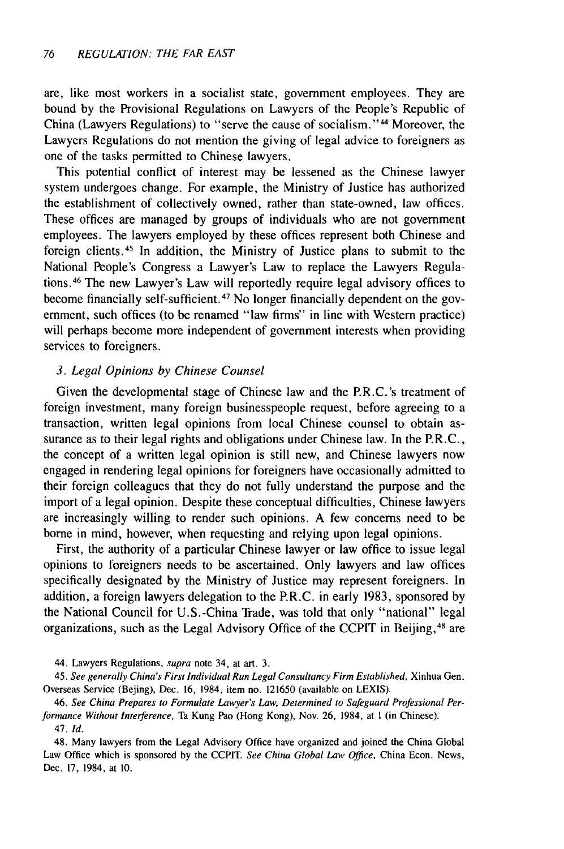are, like most workers in a socialist state, government employees. They are bound by the Provisional Regulations on Lawyers of the People's Republic of China (Lawyers Regulations) to "serve the cause of socialism."4 Moreover, the Lawyers Regulations do not mention the giving of legal advice to foreigners as one of the tasks permitted to Chinese lawyers.

This potential conflict of interest may be lessened as the Chinese lawyer system undergoes change. For example, the Ministry of Justice has authorized the establishment of collectively owned, rather than state-owned, law offices. These offices are managed by groups of individuals who are not government employees. The lawyers employed by these offices represent both Chinese and foreign clients.45 In addition, the Ministry of Justice plans to submit to the National People's Congress a Lawyer's Law to replace the Lawyers Regulations. 46 The new Lawyer's Law will reportedly require legal advisory offices to become financially self-sufficient. 47 No longer financially dependent on the government, such offices (to be renamed "law firms" in line with Western practice) will perhaps become more independent of government interests when providing services to foreigners.

### *3. Legal Opinions by Chinese Counsel*

Given the developmental stage of Chinese law and the P.R.C.'s treatment of foreign investment, many foreign businesspeople request, before agreeing to a transaction, written legal opinions from local Chinese counsel to obtain assurance as to their legal rights and obligations under Chinese law. In the P.R.C., the concept of a written legal opinion is still new, and Chinese lawyers now engaged in rendering legal opinions for foreigners have occasionally admitted to their foreign colleagues that they do not fully understand the purpose and the import of a legal opinion. Despite these conceptual difficulties, Chinese lawyers are increasingly willing to render such opinions. A few concerns need to be borne in mind, however, when requesting and relying upon legal opinions.

First, the authority of a particular Chinese lawyer or law office to issue legal opinions to foreigners needs to be ascertained. Only lawyers and law offices specifically designated by the Ministry of Justice may represent foreigners. In addition, a foreign lawyers delegation to the P.R.C. in early 1983, sponsored by the National Council for U.S.-China Trade, was told that only "national" legal organizations, such as the Legal Advisory Office of the CCPIT in Beijing, 48 are

44. Lawyers Regulations, *supra* note 34, at art. 3.

45. See generally China's First Individual Run Legal Consultancy Firm Established, Xinhua Gen. Overseas Service (Bejing), Dec. 16, 1984, item no. 121650 (available on LEXIS).

46. *See China Prepares to Formulate Lawyer's Law, Determined to Safeguard Professional Performance Without Interference,* Ta Kung Pao (Hong Kong), Nov. 26, 1984, at **I** (in Chinese). 47. Id.

48. Many lawyers from the Legal Advisory Office have organized and joined the China Global Law Office which is sponsored by the CCPIT. See China Global Law Office, China Econ. News, Dec. 17, 1984, at 10.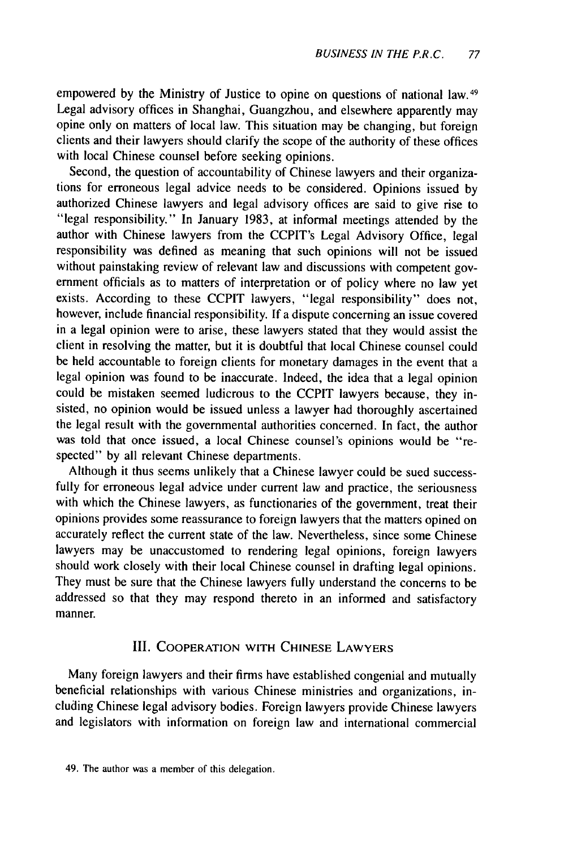empowered by the Ministry of Justice to opine on questions of national law. <sup>49</sup> Legal advisory offices in Shanghai, Guangzhou, and elsewhere apparently may opine only on matters of local law. This situation may be changing, but foreign clients and their lawyers should clarify the scope of the authority of these offices with local Chinese counsel before seeking opinions.

Second, the question of accountability of Chinese lawyers and their organizations for erroneous legal advice needs to be considered. Opinions issued by authorized Chinese lawyers and legal advisory offices are said to give rise to "legal responsibility." In January 1983, at informal meetings attended by the author with Chinese lawyers from the CCPIT's Legal Advisory Office, legal responsibility was defined as meaning that such opinions will not be issued without painstaking review of relevant law and discussions with competent government officials as to matters of interpretation or of policy where no law yet exists. According to these CCPIT lawyers, "legal responsibility" does not, however, include financial responsibility. If a dispute concerning an issue covered in a legal opinion were to arise, these lawyers stated that they would assist the client in resolving the matter, but it is doubtful that local Chinese counsel could be held accountable to foreign clients for monetary damages in the event that a legal opinion was found to be inaccurate. Indeed, the idea that a legal opinion could be mistaken seemed ludicrous to the CCPIT lawyers because, they insisted, no opinion would be issued unless a lawyer had thoroughly ascertained the legal result with the governmental authorities concerned. In fact, the author was told that once issued, a local Chinese counsel's opinions would be "respected" by all relevant Chinese departments.

Although it thus seems unlikely that a Chinese lawyer could be sued successfully for erroneous legal advice under current law and practice, the seriousness with which the Chinese lawyers, as functionaries of the government, treat their opinions provides some reassurance to foreign lawyers that the matters opined on accurately reflect the current state of the law. Nevertheless, since some Chinese lawyers may be unaccustomed to rendering legal opinions, foreign lawyers should work closely with their local Chinese counsel in drafting legal opinions. They must be sure that the Chinese lawyers fully understand the concerns to be addressed so that they may respond thereto in an informed and satisfactory manner.

### III. COOPERATION WITH **CHINESE** LAWYERS

Many foreign lawyers and their firms have established congenial and mutually beneficial relationships with various Chinese ministries and organizations, including Chinese legal advisory bodies. Foreign lawyers provide Chinese lawyers and legislators with information on foreign law and international commercial

<sup>49.</sup> The author was a member of this delegation.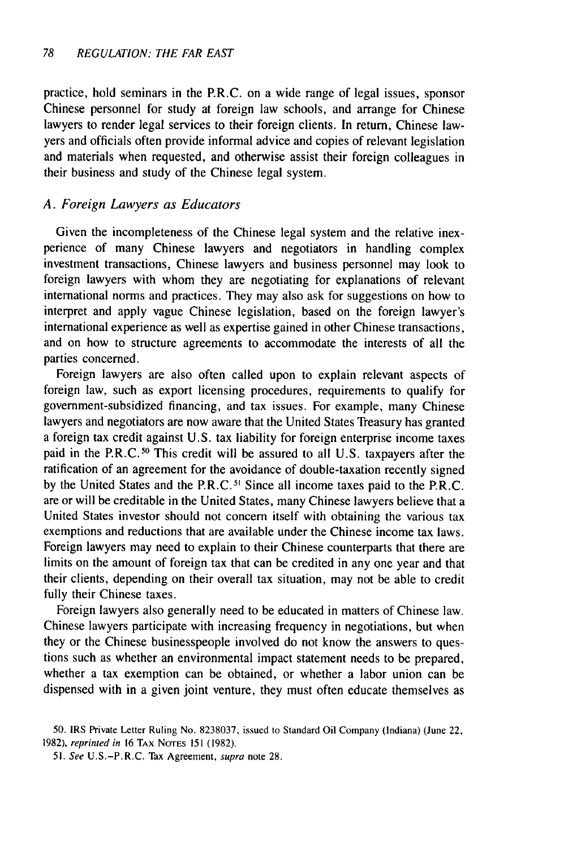practice, hold seminars in the P.R.C. on a wide range of legal issues, sponsor Chinese personnel for study at foreign law schools, and arrange for Chinese lawyers to render legal services to their foreign clients. In return, Chinese lawyers and officials often provide informal advice and copies of relevant legislation and materials when requested, and otherwise assist their foreign colleagues in their business and study of the Chinese legal system.

# *A. Foreign Lawyers as Educators*

Given the incompleteness of the Chinese legal system and the relative inexperience of many Chinese lawyers and negotiators in handling complex investment transactions, Chinese lawyers and business personnel may look to foreign lawyers with whom they are negotiating for explanations of relevant international norms and practices. They may also ask for suggestions on how to interpret and apply vague Chinese legislation, based on the foreign lawyer's international experience as well as expertise gained in other Chinese transactions, and on how to structure agreements to accommodate the interests of all the parties concerned.

Foreign lawyers are also often called upon to explain relevant aspects of foreign law, such as export licensing procedures, requirements to qualify for government-subsidized financing, and tax issues. For example, many Chinese lawyers and negotiators are now aware that the United States Treasury has granted a foreign tax credit against U.S. tax liability for foreign enterprise income taxes paid in the P.R.C.<sup>50</sup> This credit will be assured to all U.S. taxpayers after the ratification of an agreement for the avoidance of double-taxation recently signed by the United States and the P.R.C.<sup>51</sup> Since all income taxes paid to the P.R.C. are or will be creditable in the United States, many Chinese lawyers believe that a United States investor should not concern itself with obtaining the various tax exemptions and reductions that are available under the Chinese income tax laws. Foreign lawyers may need to explain to their Chinese counterparts that there are limits on the amount of foreign tax that can be credited in any one year and that their clients, depending on their overall tax situation, may not be able to credit fully their Chinese taxes.

Foreign lawyers also generally need to be educated in matters of Chinese law. Chinese lawyers participate with increasing frequency in negotiations, but when they or the Chinese businesspeople involved do not know the answers to questions such as whether an environmental impact statement needs to be prepared, whether a tax exemption can be obtained, or whether a labor union can be dispensed with in a given joint venture, they must often educate themselves as

<sup>50.</sup> IRS Private Letter Ruling No. 8238037, issued to Standard Oil Company (Indiana) (June 22, 1982), reprinted in 16 TAX **NOTES** 151 (1982).

<sup>51.</sup> See U.S.-P.R.C. Tax Agreement, supra note 28.